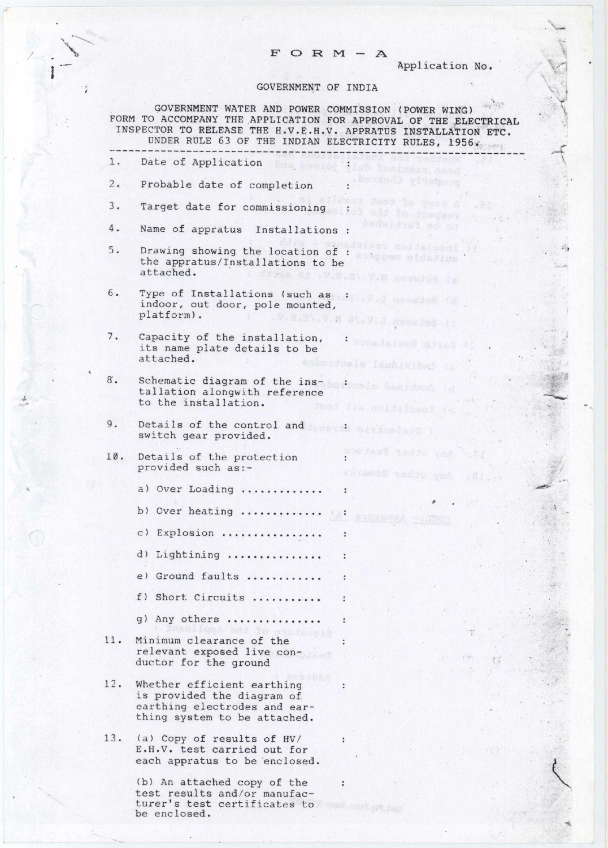## $F$  O R M - A

Application No.

## GOVERNMENT OF INDIA

 $\sqrt{ }$ 

 $\phi_{\rm T}$  /63 GOVERNMENT WATER AND POWER COMMISSION (POWER WING) FORM TO ACCOMPANY THE APPLICATION FOR APPROVAL OF THE ELECTRICAL INSPECTOR TO RELEASE THE H.V.E.H.V. APPRATUS INSTALLATION ETC. UNDER RULE 63 OF THE INDIAN ELECTRICITY RULES, 1956.

|     |                                                                                                                                                                  | ----------------                                    |
|-----|------------------------------------------------------------------------------------------------------------------------------------------------------------------|-----------------------------------------------------|
| 1.  | Date of Application bas beniet this benimass, need                                                                                                               |                                                     |
| 2.  | Probable date of completion                                                                                                                                      | .becded yftego g                                    |
| 3.  | Target date for commissioning :                                                                                                                                  | aiiwaan jasi le ygoo A                              |
| 4.  | Name of appratus Installations :                                                                                                                                 | ol add to draguer, a<br>bedsinist ed or             |
| 5.  | Drawing showing the location of : a communication<br>the appratus/Installations to be<br>attached.                                                               | aizes noidbluant.<br>A dowe of V.H.M.V.H naswdom in |
| 6.  | Type of Installations (such as : and as in the state of the state of the state of the state of the state of the<br>indoor, out door, pole mounted,<br>platform). | c) Setween L.V.I at N.V.B.R.V.                      |
| 7.  | Capacity of the installation,<br>its name plate details to be<br>attached.                                                                                       | Darth Repistance .<br>as saboidosle Isubiviani (p   |
| 8.  | Schematic diagram of the ins-sodioals banidass (d<br>tallation alongwith reference<br>to the installation.                                                       | $\sim$ $\sim$ 6.<br>Jeed the moidelband (s)         |
| 9.  | Details of the control and innoction and all the states<br>switch gear provided.                                                                                 |                                                     |
| 10. | Details of the protection<br>provided such as:-                                                                                                                  | any other feature<br>. W. Any other Remarks         |
|     | a) Over Loading                                                                                                                                                  |                                                     |
|     | b) Over heating  :                                                                                                                                               | vennA -: MOM                                        |
|     | c) Explosion                                                                                                                                                     | $\ddot{\cdot}$                                      |
|     | d) Lightining                                                                                                                                                    |                                                     |
|     | e) Ground faults                                                                                                                                                 |                                                     |
|     | f) Short Circuits.                                                                                                                                               |                                                     |
|     | g) Any others                                                                                                                                                    |                                                     |
| 11. | Minimum clearance of the<br>relevant exposed live con-<br>ductor for the ground                                                                                  |                                                     |
| 12. | Whether efficient earthing<br>is provided the diagram of<br>earthing electrodes and ear-<br>thing system to be attached.                                         | $\ddot{\cdot}$                                      |
| 13. | (a) Copy of results of HV/<br>E.H.V. test carried out for<br>each appratus to be enclosed.                                                                       |                                                     |
|     | (b) An attached copy of the<br>test results and/or manufac-<br>turer's test certificates to.                                                                     | ÷                                                   |

be enclosed.